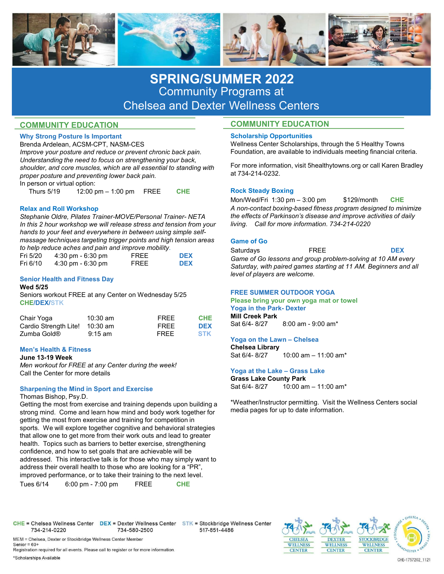

# SPRING/SUMMER 2022 Community Programs at Chelsea and Dexter Wellness Centers

## COMMUNITY EDUCATION

## Why Strong Posture Is Important

Brenda Ardelean, ACSM-CPT, NASM-CES Improve your posture and reduce or prevent chronic back pain. Understanding the need to focus on strengthening your back, shoulder, and core muscles, which are all essential to standing with proper posture and preventing lower back pain. In person or virtual option: **SPRING/SUMMER 2022**<br>
Community Programs at<br>
COMMUNITY EDUCATION<br>
EVALUATION<br>
EVALUATION<br>
EVALUATION<br>
EVALUATION COMMUNITY EDUCATION<br>
EVALUATION<br>
EVALUATION COMMUNITY EDUCATION<br>
IMPROVEMPLE INTO ANSING THE SCALAR COMMUNIT **SPRING/SUMMER 2022**<br>
Community Programs at<br>
COMMUNITY EDUCATION<br>
Why Strong Posture Is important and Checker and Dexter Wellness Centers<br>
Ferida Ardelean, ACSM-CPT, NASM-CES<br> *Enda Ardelean, ACSM-CPT*, NASM-CES<br> *Importe* Eventa Archivestor (11, NAShV-C-5)<br>
Chronoce your posture and reduce or prevent chronic back pain. Wellinds account the voltage in the chronic of<br>
Uniones and the media of ocus on strengthening your clue.<br>
Shownter, and co

### Relax and Roll Workshop

In this 2 hour workshop we will release stress and tension from your hands to your feet and everywhere in between using simple selfmassage techniques targeting trigger points and high tension areas<br>to help reduce aches and pain and improve mobility.

| Fri 5/20 | $4:30 \text{ pm} - 6:30 \text{ pm}$ | FREE | <b>DEX</b> |
|----------|-------------------------------------|------|------------|
| Fri 6/10 | $4:30 \text{ pm} - 6:30 \text{ pm}$ | FRFF | <b>DEX</b> |

### Senior Health and Fitness Day Wed 5/25

Seniors workout FREE at any Center on Wednesday 5/25 CHE/DEX/STK

| Chair Yoga<br>Cardio Strength Lite! 10:30 am | 10:30 am          | <b>FREE</b><br><b>FREE</b> | <b>CHE</b><br><b>DEX</b> | <b>Mill Creek Park</b><br>Sat 6/4-8/27 | 8:00 am - 9:00 am* |
|----------------------------------------------|-------------------|----------------------------|--------------------------|----------------------------------------|--------------------|
| Zumba Gold <sup>®</sup>                      | $9:15 \text{ am}$ | <b>FREE</b>                | <b>STK</b>               | Massa an tha Launa - Obalaas           |                    |

### Men's Health & Fitness

### June 13-19 Week

Men workout for FREE at any Center during the week!<br>Call the Center for more details **Subsetional Call the Center for more details** Call the Center for more details

# Sharpening the Mind in Sport and Exercise<br>
Sharpening the Mind in Sport and Exercise

Thomas Bishop, Psy.D.

Getting the most from exercise and training depends upon building a In this 2 hour workshop we will release stress and tension from your Energy and the strong mind come assage techniques targeting trigger points and high tension areas<br>
massage techniques targeting trigger points and high getting the most from exercise and training for competition in massage techniques targeting trigger points and high tension areas<br>
to help reduce aches and pain and improve mobility.<br>
Fri 5/20 4:30 pm - 6:30 pm - FREE DEX Saturday, with pa<br>
Senior Go less<br>
Senior Health and Fitness Da that allow one to get more from their work outs and lead to greater Fri 5/20 4:30 pm - 6:30 pm - FREE BCM<br>
Fri 6/10 4:30 pm - 6:30 pm<br>
Senior Health and Fitness Day<br>
Wed 5/25<br>
Senior Health And Fitness Day<br>
Wed 5/25<br>
Senior Senior Senior Such as barriers on Wednesday 5/25<br>
Chair Yoga in t confidence, and how to set goals that are achievable will be Senior Health and Fitness Day<br>
Wevel of players are without SPS (SPS)<br>
Seniors workout FREE at any Center on Wednesday 5/25<br>
Seniors workout FREE at any Center on Wednesday 5/25<br>
Cardio Strength Litel 10.30 am<br>
TREE CHE Mi address their overall health to those who are looking for a "PR", improved performance, or to take their training to the next level. Sentors worked return at any venter on wednesday by 25<br>
CHE/DEX/STK<br>
Chair Yoga 10:30 am<br>
Carier of North Chair Yoga into the Park- Dexter<br>
Carier Mill Creek Park- Dexter<br>
22 am FREE DEX Sat 6/4-8/27 8:00 am - 9:00 am<br>
22

### COMMUNITY EDUCATION

### Scholarship Opportunities

Wellness Center Scholarships, through the 5 Healthy Towns Foundation, are available to individuals meeting financial criteria.

For more information, visit 5healthytowns.org or call Karen Bradley at 734-214-0232.

### Rock Steady Boxing

A non-contact boxing-based fitness program designed to minimize the effects of Parkinson's disease and improve activities of daily living. Call for more information. 734-214-0220 **COMMUNITY EDUCATION**<br>
Scholarship Opportunities<br>
Wellness Center Scholarships, through the 5 Healthy Towns<br>
Foundation, are available to individuals meeting financial criteria.<br>
For more information, wist Shealthytowns.or Scholarship Opportunities<br>
Scholarship Opportunities<br>
Wellenss Center Scholarships, through the 5 Healthy Towns<br>
Foundation, are available to individuals meeting financial criteria.<br>
For more information, visit 5healthytow Foundation, are available to individuals meeting financial criteria.<br>For more information, visit 5healthytowns.org or call Karen Bradley<br>at 734-214-0232.<br>Rock Steady Boxing<br>Mon/Wed/Fri 1:30 pm – 3:00 pm – \$129/month – CHE<br> For more information, visit shealthytowns.org or call Karen Bradey<br>at 734-214-0232.<br>Mon/Wed/Fit 1:30 pm – 3:00 pm – \$129/month – CHE<br>Mon/Wed/Fit 1:30 pm – 3:00 pm – \$129/month – CHE<br>*A non-contact boxing-based fitness prog* Rock Steady Boxing<br>
Mon/Wed/Fri 1:30 pm – 3:00 pm – \$129/month – CHE<br>
A non-contact boxing-based fitness program designed to minimize<br>
the effects of Parkinson's disease and improve activities of daily<br>
tiving. Call for mo Mon/Wed/Fri 1:30 pm – 3:00 pm<br>
Sat 60-contact boxing-based fitness program designed to minimize<br>
A non-contact boxing-based fitness program designed to minimize<br>
living. Call for more information. 734-214-0220<br>
Game of Go<br>

### Game of Go

| Saturdavs                     | FRFF                                                             | <b>DEX</b> |  |
|-------------------------------|------------------------------------------------------------------|------------|--|
|                               | Game of Go lessons and group problem-solving at 10 AM every      |            |  |
|                               | Saturday, with paired games starting at 11 AM. Beginners and all |            |  |
| level of players are welcome. |                                                                  |            |  |

### FREE SUMMER OUTDOOR YOGA

# Please bring your own yoga mat or towel

Chelsea Library<br>Sat 6/4-8/27

Grass Lake County Park

\*Weather/Instructor permitting. Visit the Wellness Centers social media pages for up to date information.

MEM = Chelsea, Dexter or Stockbridge Wellness Center Member Senior =  $60+$ Registration required for all events. Please call to register or for more information.

\*Scholarships Available